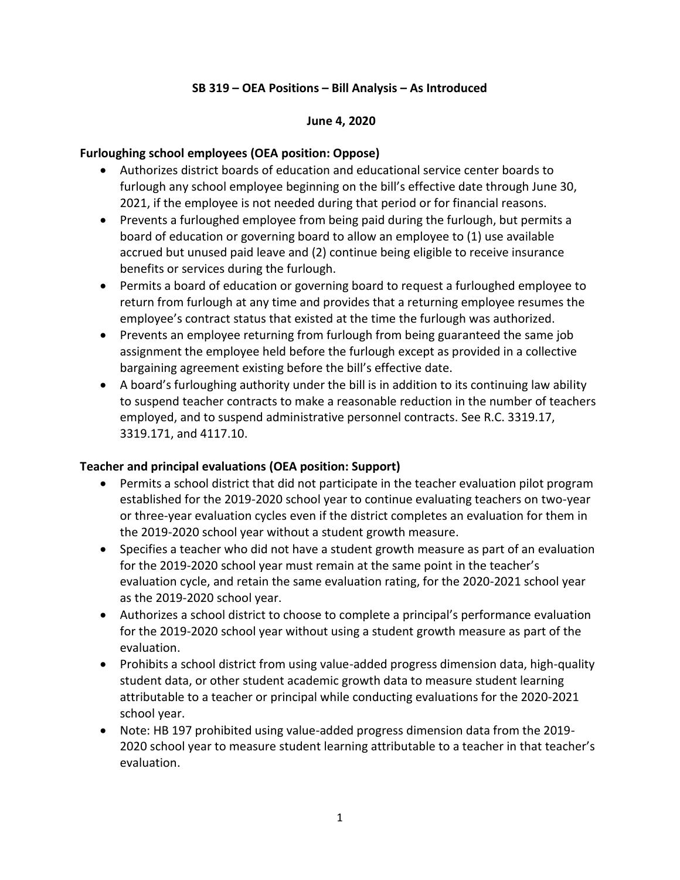### **SB 319 – OEA Positions – Bill Analysis – As Introduced**

#### **June 4, 2020**

### **Furloughing school employees (OEA position: Oppose)**

- Authorizes district boards of education and educational service center boards to furlough any school employee beginning on the bill's effective date through June 30, 2021, if the employee is not needed during that period or for financial reasons.
- Prevents a furloughed employee from being paid during the furlough, but permits a board of education or governing board to allow an employee to (1) use available accrued but unused paid leave and (2) continue being eligible to receive insurance benefits or services during the furlough.
- Permits a board of education or governing board to request a furloughed employee to return from furlough at any time and provides that a returning employee resumes the employee's contract status that existed at the time the furlough was authorized.
- Prevents an employee returning from furlough from being guaranteed the same job assignment the employee held before the furlough except as provided in a collective bargaining agreement existing before the bill's effective date.
- A board's furloughing authority under the bill is in addition to its continuing law ability to suspend teacher contracts to make a reasonable reduction in the number of teachers employed, and to suspend administrative personnel contracts. See R.C. 3319.17, 3319.171, and 4117.10.

#### **Teacher and principal evaluations (OEA position: Support)**

- Permits a school district that did not participate in the teacher evaluation pilot program established for the 2019-2020 school year to continue evaluating teachers on two-year or three-year evaluation cycles even if the district completes an evaluation for them in the 2019-2020 school year without a student growth measure.
- Specifies a teacher who did not have a student growth measure as part of an evaluation for the 2019-2020 school year must remain at the same point in the teacher's evaluation cycle, and retain the same evaluation rating, for the 2020-2021 school year as the 2019-2020 school year.
- Authorizes a school district to choose to complete a principal's performance evaluation for the 2019-2020 school year without using a student growth measure as part of the evaluation.
- Prohibits a school district from using value-added progress dimension data, high-quality student data, or other student academic growth data to measure student learning attributable to a teacher or principal while conducting evaluations for the 2020-2021 school year.
- Note: HB 197 prohibited using value-added progress dimension data from the 2019- 2020 school year to measure student learning attributable to a teacher in that teacher's evaluation.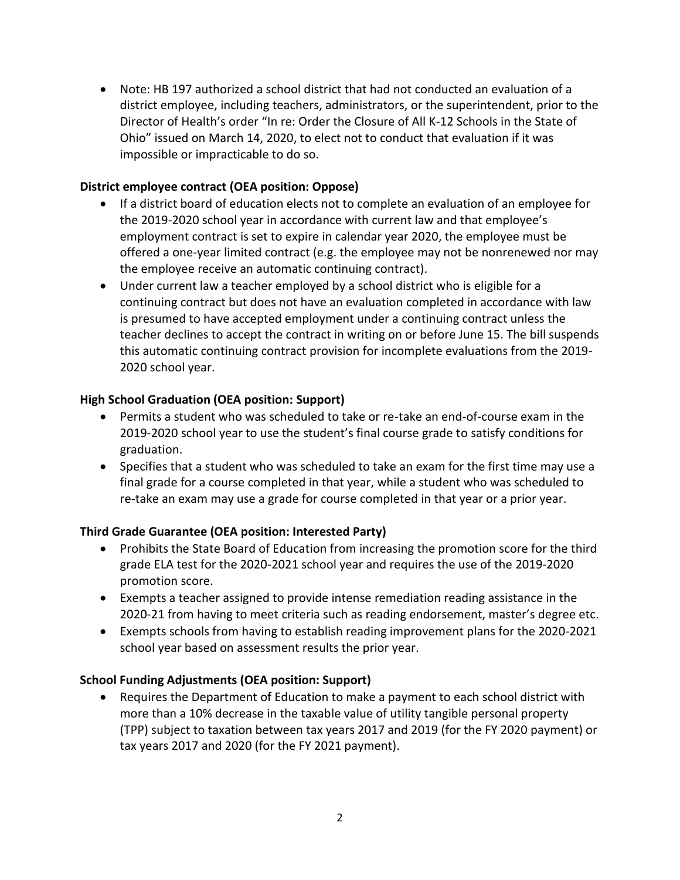• Note: HB 197 authorized a school district that had not conducted an evaluation of a district employee, including teachers, administrators, or the superintendent, prior to the Director of Health's order "In re: Order the Closure of All K-12 Schools in the State of Ohio" issued on March 14, 2020, to elect not to conduct that evaluation if it was impossible or impracticable to do so.

## **District employee contract (OEA position: Oppose)**

- If a district board of education elects not to complete an evaluation of an employee for the 2019-2020 school year in accordance with current law and that employee's employment contract is set to expire in calendar year 2020, the employee must be offered a one-year limited contract (e.g. the employee may not be nonrenewed nor may the employee receive an automatic continuing contract).
- Under current law a teacher employed by a school district who is eligible for a continuing contract but does not have an evaluation completed in accordance with law is presumed to have accepted employment under a continuing contract unless the teacher declines to accept the contract in writing on or before June 15. The bill suspends this automatic continuing contract provision for incomplete evaluations from the 2019- 2020 school year.

## **High School Graduation (OEA position: Support)**

- Permits a student who was scheduled to take or re-take an end-of-course exam in the 2019-2020 school year to use the student's final course grade to satisfy conditions for graduation.
- Specifies that a student who was scheduled to take an exam for the first time may use a final grade for a course completed in that year, while a student who was scheduled to re-take an exam may use a grade for course completed in that year or a prior year.

# **Third Grade Guarantee (OEA position: Interested Party)**

- Prohibits the State Board of Education from increasing the promotion score for the third grade ELA test for the 2020-2021 school year and requires the use of the 2019-2020 promotion score.
- Exempts a teacher assigned to provide intense remediation reading assistance in the 2020-21 from having to meet criteria such as reading endorsement, master's degree etc.
- Exempts schools from having to establish reading improvement plans for the 2020-2021 school year based on assessment results the prior year.

# **School Funding Adjustments (OEA position: Support)**

• Requires the Department of Education to make a payment to each school district with more than a 10% decrease in the taxable value of utility tangible personal property (TPP) subject to taxation between tax years 2017 and 2019 (for the FY 2020 payment) or tax years 2017 and 2020 (for the FY 2021 payment).